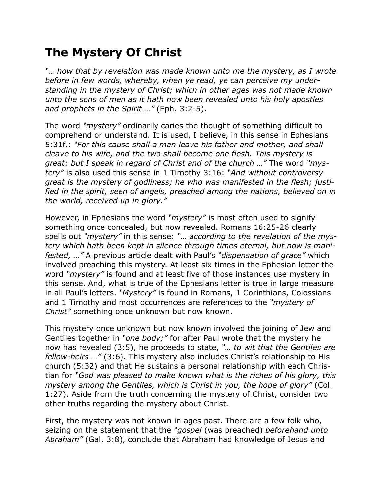## **The Mystery Of Christ**

*"… how that by revelation was made known unto me the mystery, as I wrote before in few words, whereby, when ye read, ye can perceive my understanding in the mystery of Christ; which in other ages was not made known unto the sons of men as it hath now been revealed unto his holy apostles and prophets in the Spirit …"* (Eph. 3:2-5).

The word *"mystery"* ordinarily caries the thought of something difficult to comprehend or understand. It is used, I believe, in this sense in Ephesians 5:31f.: *"For this cause shall a man leave his father and mother, and shall cleave to his wife, and the two shall become one flesh. This mystery is great: but I speak in regard of Christ and of the church …"* The word *"mystery"* is also used this sense in 1 Timothy 3:16: *"And without controversy great is the mystery of godliness; he who was manifested in the flesh; justified in the spirit, seen of angels, preached among the nations, believed on in the world, received up in glory."*

However, in Ephesians the word *"mystery"* is most often used to signify something once concealed, but now revealed. Romans 16:25-26 clearly spells out *"mystery"* in this sense: *"… according to the revelation of the mystery which hath been kept in silence through times eternal, but now is manifested, …"* A previous article dealt with Paul's *"dispensation of grace"* which involved preaching this mystery. At least six times in the Ephesian letter the word *"mystery"* is found and at least five of those instances use mystery in this sense. And, what is true of the Ephesians letter is true in large measure in all Paul's letters. *"Mystery"* is found in Romans, 1 Corinthians, Colossians and 1 Timothy and most occurrences are references to the *"mystery of Christ"* something once unknown but now known.

This mystery once unknown but now known involved the joining of Jew and Gentiles together in *"one body;"* for after Paul wrote that the mystery he now has revealed (3:5), he proceeds to state, *"… to wit that the Gentiles are fellow-heirs …"* (3:6). This mystery also includes Christ's relationship to His church (5:32) and that He sustains a personal relationship with each Christian for *"God was pleased to make known what is the riches of his glory, this mystery among the Gentiles, which is Christ in you, the hope of glory"* (Col. 1:27). Aside from the truth concerning the mystery of Christ, consider two other truths regarding the mystery about Christ.

First, the mystery was not known in ages past. There are a few folk who, seizing on the statement that the *"gospel* (was preached) *beforehand unto Abraham"* (Gal. 3:8), conclude that Abraham had knowledge of Jesus and